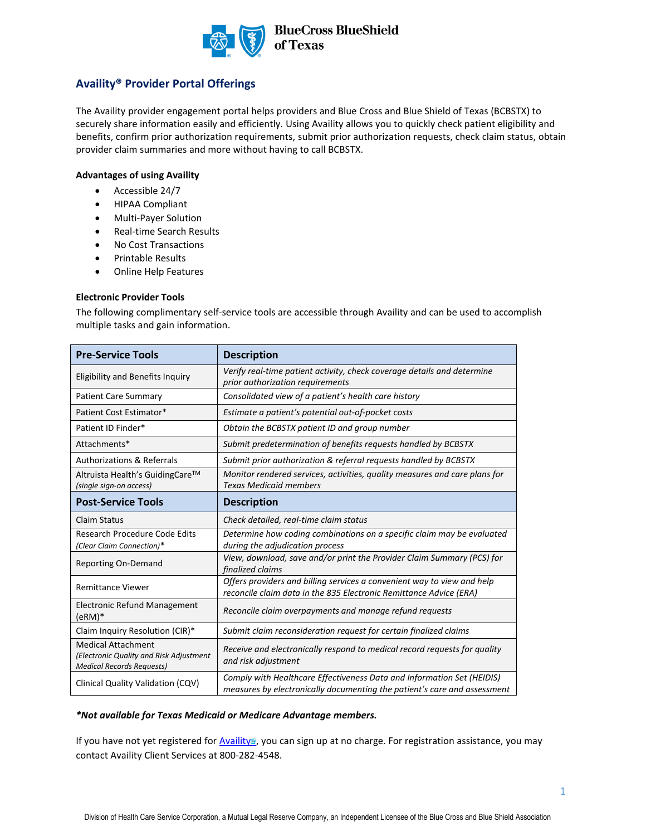

## **Availity® Provider Portal Offerings**

The Availity provider engagement portal helps providers and Blue Cross and Blue Shield of Texas (BCBSTX) to securely share information easily and efficiently. Using Availity allows you to quickly check patient eligibility and benefits, confirm prior authorization requirements, submit prior authorization requests, check claim status, obtain provider claim summaries and more without having to call BCBSTX.

## **Advantages of using Availity**

- Accessible 24/7
- HIPAA Compliant
- Multi-Payer Solution
- Real-time Search Results
- No Cost Transactions
- Printable Results
- Online Help Features

#### **Electronic Provider Tools**

The following complimentary self-service tools are accessible through Availity and can be used to accomplish multiple tasks and gain information.

| <b>Pre-Service Tools</b>                                                                                 | <b>Description</b>                                                                                                                                 |
|----------------------------------------------------------------------------------------------------------|----------------------------------------------------------------------------------------------------------------------------------------------------|
| <b>Eligibility and Benefits Inquiry</b>                                                                  | Verify real-time patient activity, check coverage details and determine<br>prior authorization requirements                                        |
| <b>Patient Care Summary</b>                                                                              | Consolidated view of a patient's health care history                                                                                               |
| Patient Cost Estimator*                                                                                  | Estimate a patient's potential out-of-pocket costs                                                                                                 |
| Patient ID Finder*                                                                                       | Obtain the BCBSTX patient ID and group number                                                                                                      |
| Attachments*                                                                                             | Submit predetermination of benefits requests handled by BCBSTX                                                                                     |
| <b>Authorizations &amp; Referrals</b>                                                                    | Submit prior authorization & referral requests handled by BCBSTX                                                                                   |
| Altruista Health's GuidingCare™<br>(single sign-on access)                                               | Monitor rendered services, activities, quality measures and care plans for<br><b>Texas Medicaid members</b>                                        |
| <b>Post-Service Tools</b>                                                                                | <b>Description</b>                                                                                                                                 |
| <b>Claim Status</b>                                                                                      | Check detailed, real-time claim status                                                                                                             |
| Research Procedure Code Edits<br>(Clear Claim Connection)*                                               | Determine how coding combinations on a specific claim may be evaluated<br>during the adjudication process                                          |
| Reporting On-Demand                                                                                      | View, download, save and/or print the Provider Claim Summary (PCS) for<br>finalized claims                                                         |
| <b>Remittance Viewer</b>                                                                                 | Offers providers and billing services a convenient way to view and help<br>reconcile claim data in the 835 Electronic Remittance Advice (ERA)      |
| <b>Electronic Refund Management</b><br>$(eRM)*$                                                          | Reconcile claim overpayments and manage refund requests                                                                                            |
| Claim Inquiry Resolution (CIR)*                                                                          | Submit claim reconsideration request for certain finalized claims                                                                                  |
| <b>Medical Attachment</b><br>(Electronic Quality and Risk Adjustment<br><b>Medical Records Requests)</b> | Receive and electronically respond to medical record requests for quality<br>and risk adjustment                                                   |
| Clinical Quality Validation (CQV)                                                                        | Comply with Healthcare Effectiveness Data and Information Set (HEIDIS)<br>measures by electronically documenting the patient's care and assessment |

#### *\*Not available for Texas Medicaid or Medicare Advantage members.*

If you have not yet registered for [Availity](http://www.availity.com/) , you can sign up at no charge. For registration assistance, you may contact Availity Client Services at 800-282-4548.